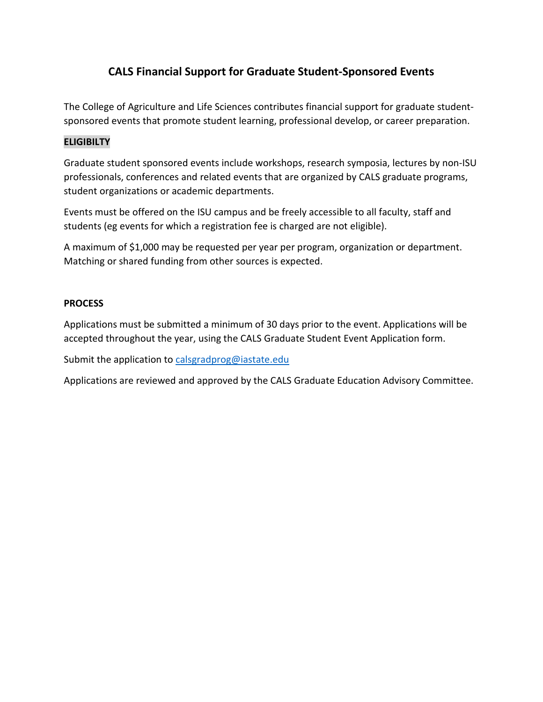# **CALS Financial Support for Graduate Student-Sponsored Events**

The College of Agriculture and Life Sciences contributes financial support for graduate studentsponsored events that promote student learning, professional develop, or career preparation.

## **ELIGIBILTY**

Graduate student sponsored events include workshops, research symposia, lectures by non-ISU professionals, conferences and related events that are organized by CALS graduate programs, student organizations or academic departments.

Events must be offered on the ISU campus and be freely accessible to all faculty, staff and students (eg events for which a registration fee is charged are not eligible).

A maximum of \$1,000 may be requested per year per program, organization or department. Matching or shared funding from other sources is expected.

#### **PROCESS**

Applications must be submitted a minimum of 30 days prior to the event. Applications will be accepted throughout the year, using the CALS Graduate Student Event Application form.

Submit the application to [calsgradprog@iastate.edu](mailto:calsgradprog@iastate.edu)

Applications are reviewed and approved by the CALS Graduate Education Advisory Committee.